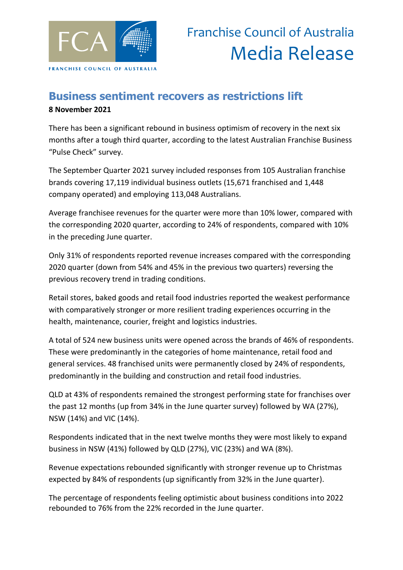

## **Business sentiment recovers as restrictions lift 8 November 2021**

There has been a significant rebound in business optimism of recovery in the next six months after a tough third quarter, according to the latest Australian Franchise Business "Pulse Check" survey.

The September Quarter 2021 survey included responses from 105 Australian franchise brands covering 17,119 individual business outlets (15,671 franchised and 1,448 company operated) and employing 113,048 Australians.

Average franchisee revenues for the quarter were more than 10% lower, compared with the corresponding 2020 quarter, according to 24% of respondents, compared with 10% in the preceding June quarter.

Only 31% of respondents reported revenue increases compared with the corresponding 2020 quarter (down from 54% and 45% in the previous two quarters) reversing the previous recovery trend in trading conditions.

Retail stores, baked goods and retail food industries reported the weakest performance with comparatively stronger or more resilient trading experiences occurring in the health, maintenance, courier, freight and logistics industries.

A total of 524 new business units were opened across the brands of 46% of respondents. These were predominantly in the categories of home maintenance, retail food and general services. 48 franchised units were permanently closed by 24% of respondents, predominantly in the building and construction and retail food industries.

QLD at 43% of respondents remained the strongest performing state for franchises over the past 12 months (up from 34% in the June quarter survey) followed by WA (27%), NSW (14%) and VIC (14%).

Respondents indicated that in the next twelve months they were most likely to expand business in NSW (41%) followed by QLD (27%), VIC (23%) and WA (8%).

Revenue expectations rebounded significantly with stronger revenue up to Christmas expected by 84% of respondents (up significantly from 32% in the June quarter).

The percentage of respondents feeling optimistic about business conditions into 2022 rebounded to 76% from the 22% recorded in the June quarter.